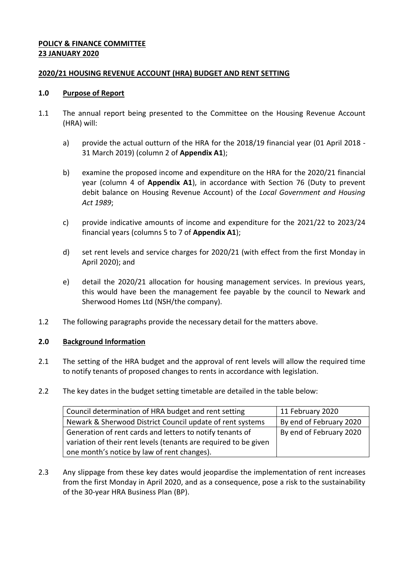## **POLICY & FINANCE COMMITTEE 23 JANUARY 2020**

### <span id="page-0-0"></span>**2020/21 HOUSING REVENUE ACCOUNT (HRA) BUDGET AND RENT SETTING**

### **1.0 Purpose of Report**

- <span id="page-0-2"></span>1.1 The annual report being presented to the Committee on the Housing Revenue Account (HRA) will:
	- a) provide the actual outturn of the HRA for the 2018/19 financial year (01 April 2018 31 March 2019) (column 2 of **Appendix A1**);
	- b) examine the proposed income and expenditure on the HRA for the [2020/21](#page-0-0) financial year (column 4 of **Appendix A1**), in accordance with Section 76 (Duty to prevent debit balance on Housing Revenue Account) of the *Local Government and Housing Act 1989*;
	- c) provide indicative amounts of income and expenditure for the 2021/22 to 2023/24 financial years (columns 5 to 7 of **Appendix A1**);
	- d) set rent levels and service charges for [2020/21](#page-0-0) (with effect from the first Monday in April 2020); and
	- e) detail the [2020/21](#page-0-0) allocation for housing management services. In previous years, this would have been the management fee payable by the council to Newark and Sherwood Homes Ltd (NSH/the company).
- <span id="page-0-1"></span>1.2 The following paragraphs provide the necessary detail for the matters above.

# **2.0 Background Information**

- 2.1 The setting of the HRA budget and the approval of rent levels will allow the required time to notify tenants of proposed changes to rents in accordance with legislation.
- 2.2 The key dates in the budget setting timetable are detailed in the table below:

<span id="page-0-3"></span>

| Council determination of HRA budget and rent setting             | 11 February 2020        |
|------------------------------------------------------------------|-------------------------|
| Newark & Sherwood District Council update of rent systems        | By end of February 2020 |
| Generation of rent cards and letters to notify tenants of        | By end of February 2020 |
| variation of their rent levels (tenants are required to be given |                         |
| one month's notice by law of rent changes).                      |                         |

2.3 Any slippage from these key dates would jeopardise the implementation of rent increases from the first Monday in April [2020,](#page-0-1) and as a consequence, pose a risk to the sustainability of the 30-year HRA Business Plan (BP).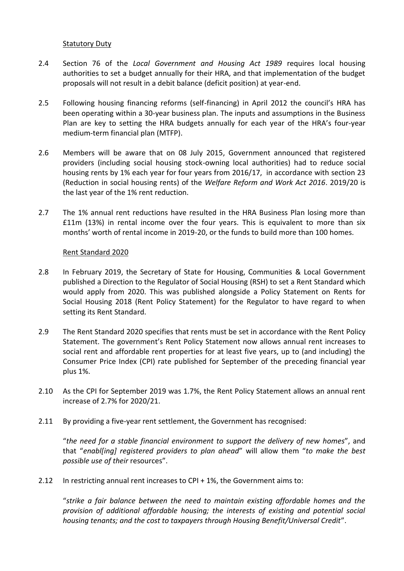### Statutory Duty

- 2.4 Section 76 of the *Local Government and Housing Act 1989* requires local housing authorities to set a budget annually for their HRA, and that implementation of the budget proposals will not result in a debit balance (deficit position) at year-end.
- 2.5 Following housing financing reforms (self-financing) in April 2012 the council's HRA has been operating within a 30-year business plan. The inputs and assumptions in the Business Plan are key to setting the HRA budgets annually for each year of the HRA's four-year medium-term financial plan (MTFP).
- 2.6 Members will be aware that on 08 July 2015, Government announced that registered providers (including social housing stock-owning local authorities) had to reduce social housing rents by 1% each year for four years from 2016/17, in accordance with section 23 (Reduction in social housing rents) of the *Welfare Reform and Work Act 2016*. 2019/20 is the last year of the 1% rent reduction.
- <span id="page-1-0"></span>2.7 The 1% annual rent reductions have resulted in the HRA Business Plan losing more than £11m (13%) in rental income over the four years. This is equivalent to more than six months' worth of rental income in 2019-20, or the funds to build more than 100 homes.

### Rent Standard 2020

- 2.8 In February 2019, the Secretary of State for Housing, Communities & Local Government published a Direction to the Regulator of Social Housing (RSH) to set a Rent Standard which would apply from 2020. This was published alongside a Policy Statement on Rents for Social Housing 2018 (Rent Policy Statement) for the Regulator to have regard to when setting its Rent Standard.
- 2.9 The Rent Standard 2020 specifies that rents must be set in accordance with the Rent Policy Statement. The government's Rent Policy Statement now allows annual rent increases to social rent and affordable rent properties for at least five years, up to (and including) the Consumer Price Index (CPI) rate published for September of the preceding financial year plus 1%.
- 2.10 As the CPI for September [2019](#page-0-2) was 1.7%, the Rent Policy Statement allows an annual rent increase of 2.7% for [2020/21.](#page-0-0)
- 2.11 By providing a five-year rent settlement, the Government has recognised:

<span id="page-1-2"></span><span id="page-1-1"></span>"*the need for a stable financial environment to support the delivery of new homes*", and that "*enabl[ing] registered providers to plan ahead*" will allow them "*to make the best possible use of their* resources".

2.12 In restricting annual rent increases to CPI + 1%, the Government aims to:

"*strike a fair balance between the need to maintain existing affordable homes and the provision of additional affordable housing; the interests of existing and potential social housing tenants; and the cost to taxpayers through Housing Benefit/Universal Credit*".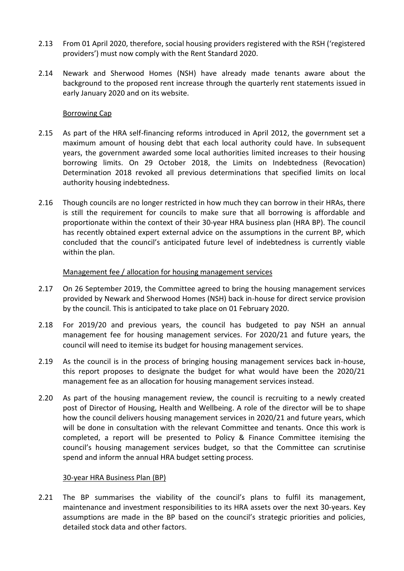- 2.13 From 01 April 2020, therefore, social housing providers registered with the RSH ('registered providers') must now comply with the Rent Standard 2020.
- 2.14 Newark and Sherwood Homes (NSH) have already made tenants aware about the background to the proposed rent increase through the quarterly rent statements issued in early January 2020 and on its website.

#### Borrowing Cap

- <span id="page-2-0"></span>2.15 As part of the HRA self-financing reforms introduced in April 2012, the government set a maximum amount of housing debt that each local authority could have. In subsequent years, the government awarded some local authorities limited increases to their housing borrowing limits. On 29 October 2018, the Limits on Indebtedness (Revocation) Determination 2018 revoked all previous determinations that specified limits on local authority housing indebtedness.
- <span id="page-2-1"></span>2.16 Though councils are no longer restricted in how much they can borrow in their HRAs, there is still the requirement for councils to make sure that all borrowing is affordable and proportionate within the context of their 30-year HRA business plan (HRA BP). The council has recently obtained expert external advice on the assumptions in the current BP, which concluded that the council's anticipated future level of indebtedness is currently viable within the plan.

### Management fee / allocation for housing management services

- 2.17 On 26 September 2019, the Committee agreed to bring the housing management services provided by Newark and Sherwood Homes (NSH) back in-house for direct service provision by the council. This is anticipated to take place on 01 February 2020.
- 2.18 For 2019/20 and previous years, the council has budgeted to pay NSH an annual management fee for housing management services. For 2020/21 and future years, the council will need to itemise its budget for housing management services.
- 2.19 As the council is in the process of bringing housing management services back in-house, this report proposes to designate the budget for what would have been the 2020/21 management fee as an allocation for housing management services instead.
- 2.20 As part of the housing management review, the council is recruiting to a newly created post of Director of Housing, Health and Wellbeing. A role of the director will be to shape how the council delivers housing management services in 2020/21 and future years, which will be done in consultation with the relevant Committee and tenants. Once this work is completed, a report will be presented to Policy & Finance Committee itemising the council's housing management services budget, so that the Committee can scrutinise spend and inform the annual HRA budget setting process.

#### 30-year HRA Business Plan (BP)

2.21 The BP summarises the viability of the council's plans to fulfil its management, maintenance and investment responsibilities to its HRA assets over the next 30-years. Key assumptions are made in the BP based on the council's strategic priorities and policies, detailed stock data and other factors.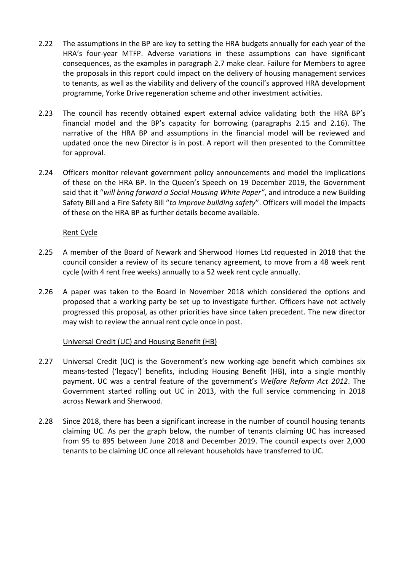- 2.22 The assumptions in the BP are key to setting the HRA budgets annually for each year of the HRA's four-year MTFP. Adverse variations in these assumptions can have significant consequences, as the examples in paragraph [2.7](#page-1-0) make clear. Failure for Members to agree the proposals in this report could impact on the delivery of housing management services to tenants, as well as the viability and delivery of the council's approved HRA development programme, Yorke Drive regeneration scheme and other investment activities.
- 2.23 The council has recently obtained expert external advice validating both the HRA BP's financial model and the BP's capacity for borrowing (paragraphs [2.15](#page-2-0) and [2.16\)](#page-2-1). The narrative of the HRA BP and assumptions in the financial model will be reviewed and updated once the new Director is in post. A report will then presented to the Committee for approval.
- 2.24 Officers monitor relevant government policy announcements and model the implications of these on the HRA BP. In the Queen's Speech on 19 December 2019, the Government said that it "*will bring forward a Social Housing White Paper"*, and introduce a new Building Safety Bill and a Fire Safety Bill "*to improve building safety*". Officers will model the impacts of these on the HRA BP as further details become available.

### Rent Cycle

- 2.25 A member of the Board of Newark and Sherwood Homes Ltd requested in 2018 that the council consider a review of its secure tenancy agreement, to move from a 48 week rent cycle (with 4 rent free weeks) annually to a 52 week rent cycle annually.
- 2.26 A paper was taken to the Board in November 2018 which considered the options and proposed that a working party be set up to investigate further. Officers have not actively progressed this proposal, as other priorities have since taken precedent. The new director may wish to review the annual rent cycle once in post.

#### Universal Credit (UC) and Housing Benefit (HB)

- 2.27 Universal Credit (UC) is the Government's new working-age benefit which combines six means-tested ('legacy') benefits, including Housing Benefit (HB), into a single monthly payment. UC was a central feature of the government's *Welfare Reform Act 2012*. The Government started rolling out UC in 2013, with the full service commencing in 2018 across Newark and Sherwood.
- 2.28 Since 2018, there has been a significant increase in the number of council housing tenants claiming UC. As per the graph below, the number of tenants claiming UC has increased from 95 to 895 between June 2018 and December 2019. The council expects over 2,000 tenants to be claiming UC once all relevant households have transferred to UC.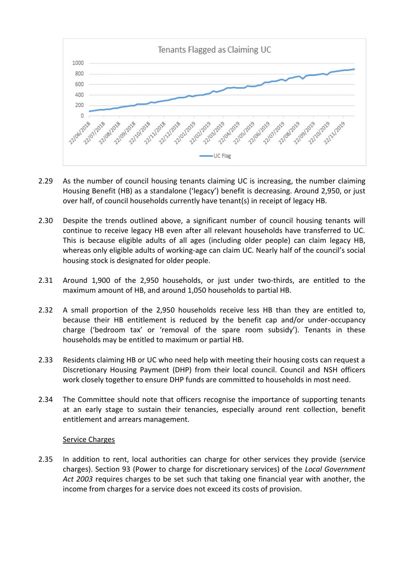

- 2.29 As the number of council housing tenants claiming UC is increasing, the number claiming Housing Benefit (HB) as a standalone ('legacy') benefit is decreasing. Around 2,950, or just over half, of council households currently have tenant(s) in receipt of legacy HB.
- 2.30 Despite the trends outlined above, a significant number of council housing tenants will continue to receive legacy HB even after all relevant households have transferred to UC. This is because eligible adults of all ages (including older people) can claim legacy HB, whereas only eligible adults of working-age can claim UC. Nearly half of the council's social housing stock is designated for older people.
- 2.31 Around 1,900 of the 2,950 households, or just under two-thirds, are entitled to the maximum amount of HB, and around 1,050 households to partial HB.
- 2.32 A small proportion of the 2,950 households receive less HB than they are entitled to, because their HB entitlement is reduced by the benefit cap and/or under-occupancy charge ('bedroom tax' or 'removal of the spare room subsidy'). Tenants in these households may be entitled to maximum or partial HB.
- <span id="page-4-0"></span>2.33 Residents claiming HB or UC who need help with meeting their housing costs can request a Discretionary Housing Payment (DHP) from their local council. Council and NSH officers work closely together to ensure DHP funds are committed to households in most need.
- <span id="page-4-1"></span>2.34 The Committee should note that officers recognise the importance of supporting tenants at an early stage to sustain their tenancies, especially around rent collection, benefit entitlement and arrears management.

#### Service Charges

2.35 In addition to rent, local authorities can charge for other services they provide (service charges). Section 93 (Power to charge for discretionary services) of the *Local Government Act 2003* requires charges to be set such that taking one financial year with another, the income from charges for a service does not exceed its costs of provision.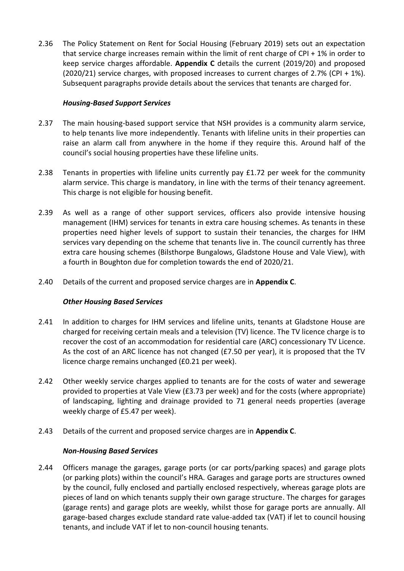2.36 The Policy Statement on Rent for Social Housing (February 2019) sets out an expectation that service charge increases remain within the limit of rent charge of  $\text{CPI} + 1\%$  in order to keep service charges affordable. **Appendix C** details the current (2019/20) and proposed  $(2020/21)$  service charges, with proposed increases to current charges of [2.7%](#page-1-1) (CPI + 1%). Subsequent paragraphs provide details about the services that tenants are charged for.

### *Housing-Based Support Services*

- 2.37 The main housing-based support service that NSH provides is a community alarm service, to help tenants live more independently. Tenants with lifeline units in their properties can raise an alarm call from anywhere in the home if they require this. Around half of the council's social housing properties have these lifeline units.
- 2.38 Tenants in properties with lifeline units currently pay £1.72 per week for the community alarm service. This charge is mandatory, in line with the terms of their tenancy agreement. This charge is not eligible for housing benefit.
- 2.39 As well as a range of other support services, officers also provide intensive housing management (IHM) services for tenants in extra care housing schemes. As tenants in these properties need higher levels of support to sustain their tenancies, the charges for IHM services vary depending on the scheme that tenants live in. The council currently has three extra care housing schemes (Bilsthorpe Bungalows, Gladstone House and Vale View), with a fourth in Boughton due for completion towards the end of 2020/21.
- 2.40 Details of the current and proposed service charges are in **Appendix C**.

#### *Other Housing Based Services*

- 2.41 In addition to charges for IHM services and lifeline units, tenants at Gladstone House are charged for receiving certain meals and a television (TV) licence. The TV licence charge is to recover the cost of an accommodation for residential care (ARC) concessionary TV Licence. As the cost of an ARC licence has not changed (£7.50 per year), it is proposed that the TV licence charge remains unchanged (£0.21 per week).
- 2.42 Other weekly service charges applied to tenants are for the costs of water and sewerage provided to properties at Vale View (£3.73 per week) and for the costs (where appropriate) of landscaping, lighting and drainage provided to 71 general needs properties (average weekly charge of £5.47 per week).
- 2.43 Details of the current and proposed service charges are in **Appendix C**.

#### *Non-Housing Based Services*

2.44 Officers manage the garages, garage ports (or car ports/parking spaces) and garage plots (or parking plots) within the council's HRA. Garages and garage ports are structures owned by the council, fully enclosed and partially enclosed respectively, whereas garage plots are pieces of land on which tenants supply their own garage structure. The charges for garages (garage rents) and garage plots are weekly, whilst those for garage ports are annually. All garage-based charges exclude standard rate value-added tax (VAT) if let to council housing tenants, and include VAT if let to non-council housing tenants.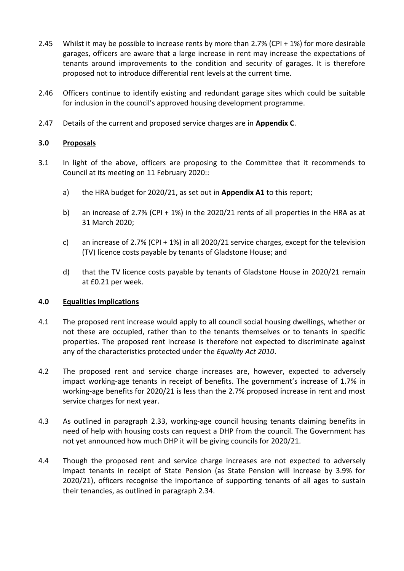- 2.45 Whilst it may be possible to increase rents by more than [2.7%](#page-1-1) (CPI + 1%) for more desirable garages, officers are aware that a large increase in rent may increase the expectations of tenants around improvements to the condition and security of garages. It is therefore proposed not to introduce differential rent levels at the current time.
- 2.46 Officers continue to identify existing and redundant garage sites which could be suitable for inclusion in the council's approved housing development programme.
- 2.47 Details of the current and proposed service charges are in **Appendix C**.

### **3.0 Proposals**

- 3.1 In light of the above, officers are proposing to the Committee that it recommends to Council at its meeting on 11 [February](#page-0-3) 2020::
	- a) the HRA budget for [2020/21,](#page-0-0) as set out in **Appendix A1** to this report;
	- b) an increase of [2.7%](#page-1-1) (CPI + 1%) in the [2020/21](#page-0-0) rents of all properties in the HRA as at 31 March [2020;](#page-0-1)
	- c) an increase of [2.7%](#page-1-1) (CPI + 1%) in all [2020/21](#page-0-0) service charges, except for the television (TV) licence costs payable by tenants of Gladstone House; and
	- d) that the TV licence costs payable by tenants of Gladstone House in [2020/21](#page-0-0) remain at £0.21 per week.

# **4.0 Equalities Implications**

- 4.1 The proposed rent increase would apply to all council social housing dwellings, whether or not these are occupied, rather than to the tenants themselves or to tenants in specific properties. The proposed rent increase is therefore not expected to discriminate against any of the characteristics protected under the *Equality Act 2010*.
- 4.2 The proposed rent and service charge increases are, however, expected to adversely impact working-age tenants in receipt of benefits. The government's increase of [1.7%](#page-1-2) in working-age benefits for 2020/21 is less than the [2.7%](#page-1-1) proposed increase in rent and most service charges for next year.
- 4.3 As outlined in paragraph [2.33,](#page-4-0) working-age council housing tenants claiming benefits in need of help with housing costs can request a DHP from the council. The Government has not yet announced how much DHP it will be giving councils for [2020/21.](#page-0-0)
- 4.4 Though the proposed rent and service charge increases are not expected to adversely impact tenants in receipt of State Pension (as State Pension will increase by 3.9% for [2020/21\)](#page-0-0), officers recognise the importance of supporting tenants of all ages to sustain their tenancies, as outlined in paragraph [2.34.](#page-4-1)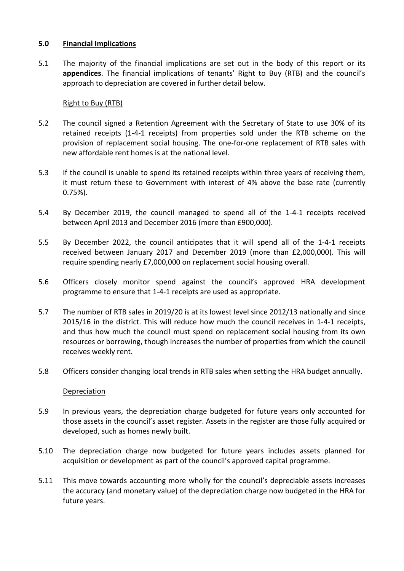### **5.0 Financial Implications**

5.1 The majority of the financial implications are set out in the body of this report or its **appendices**. The financial implications of tenants' Right to Buy (RTB) and the council's approach to depreciation are covered in further detail below.

## Right to Buy (RTB)

- 5.2 The council signed a Retention Agreement with the Secretary of State to use 30% of its retained receipts (1-4-1 receipts) from properties sold under the RTB scheme on the provision of replacement social housing. The one-for-one replacement of RTB sales with new affordable rent homes is at the national level.
- 5.3 If the council is unable to spend its retained receipts within three years of receiving them, it must return these to Government with interest of 4% above the base rate (currently 0.75%).
- 5.4 By December 2019, the council managed to spend all of the 1-4-1 receipts received between April 2013 and December 2016 (more than £900,000).
- 5.5 By December 2022, the council anticipates that it will spend all of the 1-4-1 receipts received between January 2017 and December 2019 (more than £2,000,000). This will require spending nearly £7,000,000 on replacement social housing overall.
- 5.6 Officers closely monitor spend against the council's approved HRA development programme to ensure that 1-4-1 receipts are used as appropriate.
- 5.7 The number of RTB sales in 2019/20 is at its lowest level since 2012/13 nationally and since 2015/16 in the district. This will reduce how much the council receives in 1-4-1 receipts, and thus how much the council must spend on replacement social housing from its own resources or borrowing, though increases the number of properties from which the council receives weekly rent.
- 5.8 Officers consider changing local trends in RTB sales when setting the HRA budget annually.

#### Depreciation

- 5.9 In previous years, the depreciation charge budgeted for future years only accounted for those assets in the council's asset register. Assets in the register are those fully acquired or developed, such as homes newly built.
- 5.10 The depreciation charge now budgeted for future years includes assets planned for acquisition or development as part of the council's approved capital programme.
- 5.11 This move towards accounting more wholly for the council's depreciable assets increases the accuracy (and monetary value) of the depreciation charge now budgeted in the HRA for future years.